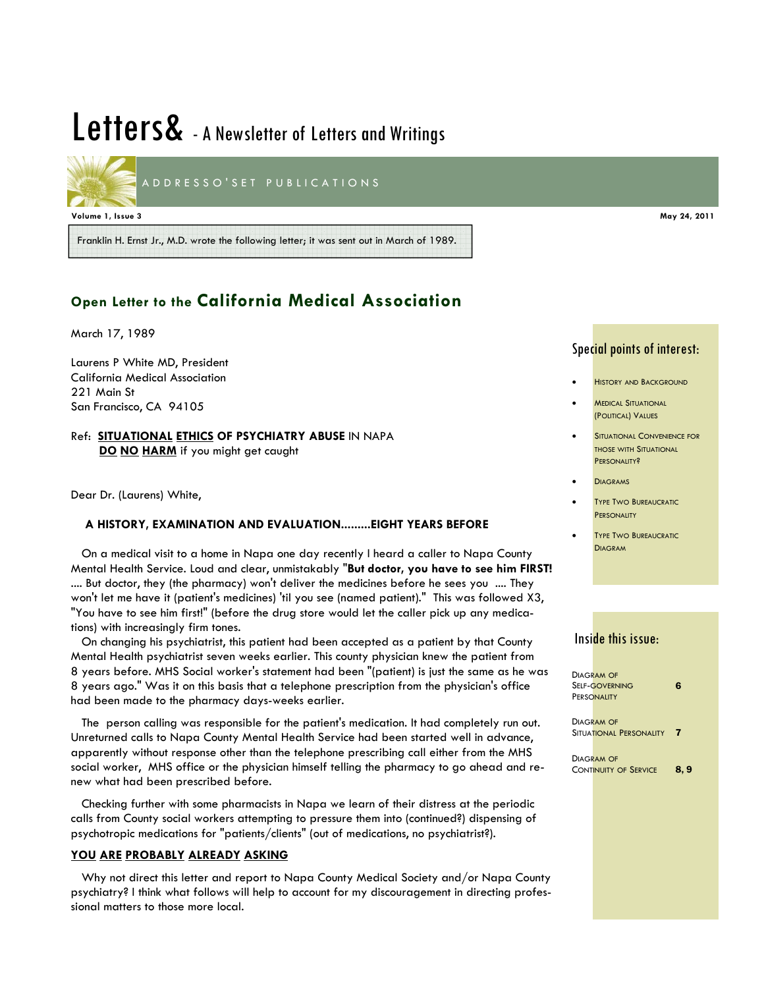# Letters& - A Newsletter of Letters and Writings

ADDRESSO'SET PUBLICATIONS

**Volume 1, Issue 3 May 24, 2011** 

Franklin H. Ernst Jr., M.D. wrote the following letter; it was sent out in March of 1989.

# **Open Letter to the California Medical Association**

March 17, 1989

Laurens P White MD, President California Medical Association 221 Main St San Francisco, CA 94105

### Ref: **SITUATIONAL ETHICS OF PSYCHIATRY ABUSE** IN NAPA **DO NO HARM** if you might get caught

Dear Dr. (Laurens) White,

# **A HISTORY, EXAMINATION AND EVALUATION.........EIGHT YEARS BEFORE**

 On a medical visit to a home in Napa one day recently I heard a caller to Napa County Mental Health Service. Loud and clear, unmistakably "**But doctor, you have to see him FIRST!** .... But doctor, they (the pharmacy) won't deliver the medicines before he sees you .... They won't let me have it (patient's medicines) 'til you see (named patient)." This was followed X3, "You have to see him first!" (before the drug store would let the caller pick up any medications) with increasingly firm tones.

 On changing his psychiatrist, this patient had been accepted as a patient by that County Mental Health psychiatrist seven weeks earlier. This county physician knew the patient from 8 years before. MHS Social worker's statement had been "(patient) is just the same as he was 8 years ago." Was it on this basis that a telephone prescription from the physician's office had been made to the pharmacy days-weeks earlier.

 The person calling was responsible for the patient's medication. It had completely run out. Unreturned calls to Napa County Mental Health Service had been started well in advance, apparently without response other than the telephone prescribing call either from the MHS social worker, MHS office or the physician himself telling the pharmacy to go ahead and renew what had been prescribed before.

 Checking further with some pharmacists in Napa we learn of their distress at the periodic calls from County social workers attempting to pressure them into (continued?) dispensing of psychotropic medications for "patients/clients" (out of medications, no psychiatrist?).

### **YOU ARE PROBABLY ALREADY ASKING**

 Why not direct this letter and report to Napa County Medical Society and/or Napa County psychiatry? I think what follows will help to account for my discouragement in directing professional matters to those more local.

# Special points of interest:

- **HISTORY AND BACKGROUND**
- MEDICAL SITUATIONAL (POLITICAL) VALUES
- **SITUATIONAL CONVENIENCE FOR** THOSE WITH SITUATIONAL PERSONALITY?
- **DIAGRAMS**
- **TYPE TWO BUREAUCRATIC PERSONALITY**
- **TYPE TWO BUREAUCRATIC DIAGRAM**

# Inside this issue:

| <b>DIAGRAM OF</b><br>Self-Governing<br>PERSONALITY | 6    |
|----------------------------------------------------|------|
| DIAGRAM OF<br>Situational Personality              | 7    |
| <b>DIAGRAM OF</b><br><b>CONTINUITY OF SERVICE</b>  | 8. 9 |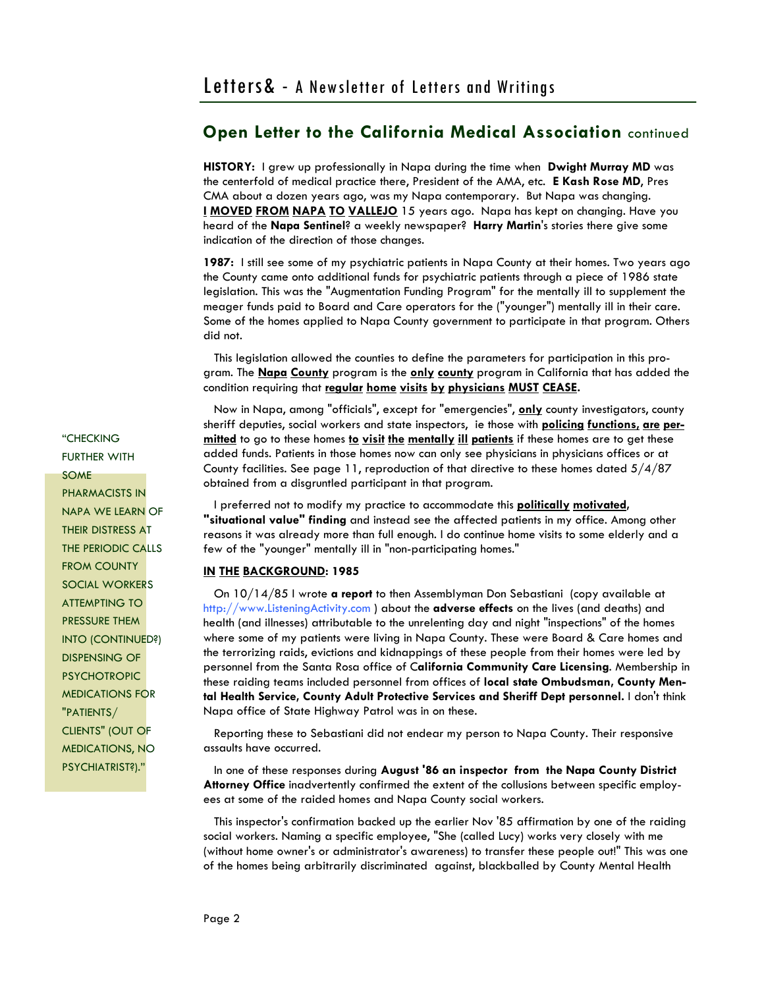**HISTORY:** I grew up professionally in Napa during the time when **Dwight Murray MD** was the centerfold of medical practice there, President of the AMA, etc. **E Kash Rose MD**, Pres CMA about a dozen years ago, was my Napa contemporary. But Napa was changing. **I MOVED FROM NAPA TO VALLEJO** 15 years ago. Napa has kept on changing. Have you heard of the **Napa Sentinel**? a weekly newspaper? **Harry Martin**'s stories there give some indication of the direction of those changes.

**1987:** I still see some of my psychiatric patients in Napa County at their homes. Two years ago the County came onto additional funds for psychiatric patients through a piece of 1986 state legislation. This was the "Augmentation Funding Program" for the mentally ill to supplement the meager funds paid to Board and Care operators for the ("younger") mentally ill in their care. Some of the homes applied to Napa County government to participate in that program. Others did not.

 This legislation allowed the counties to define the parameters for participation in this program. The **Napa County** program is the **only county** program in California that has added the condition requiring that **regular home visits by physicians MUST CEASE.**

 Now in Napa, among "officials", except for "emergencies", **only** county investigators, county sheriff deputies, social workers and state inspectors, ie those with **policing functions, are permitted** to go to these homes **to visit the mentally ill patients** if these homes are to get these added funds. Patients in those homes now can only see physicians in physicians offices or at County facilities. See page 11, reproduction of that directive to these homes dated  $5/4/87$ obtained from a disgruntled participant in that program.

 I preferred not to modify my practice to accommodate this **politically motivated, "situational value" finding** and instead see the affected patients in my office. Among other reasons it was already more than full enough. I do continue home visits to some elderly and a few of the "younger" mentally ill in "non-participating homes."

# **IN THE BACKGROUND: 1985**

 On 10/14/85 I wrote **a report** to then Assemblyman Don Sebastiani (copy available at http://www.ListeningActivity.com ) about the **adverse effects** on the lives (and deaths) and health (and illnesses) attributable to the unrelenting day and night "inspections" of the homes where some of my patients were living in Napa County. These were Board & Care homes and the terrorizing raids, evictions and kidnappings of these people from their homes were led by personnel from the Santa Rosa office of C**alifornia Community Care Licensing**. Membership in these raiding teams included personnel from offices of **local state Ombudsman, County Mental Health Service, County Adult Protective Services and Sheriff Dept personnel.** I don't think Napa office of State Highway Patrol was in on these.

 Reporting these to Sebastiani did not endear my person to Napa County. Their responsive assaults have occurred.

 In one of these responses during **August '86 an inspector from the Napa County District Attorney Office** inadvertently confirmed the extent of the collusions between specific employees at some of the raided homes and Napa County social workers.

 This inspector's confirmation backed up the earlier Nov '85 affirmation by one of the raiding social workers. Naming a specific employee, "She (called Lucy) works very closely with me (without home owner's or administrator's awareness) to transfer these people out!" This was one of the homes being arbitrarily discriminated against, blackballed by County Mental Health

"CHECKING FURTHER WITH SOME PHARMACISTS IN NAPA WE LEARN OF THEIR DISTRESS AT THE PERIODIC CALLS FROM COUNTY SOCIAL WORKERS ATTEMPTING TO PRESSURE THEM INTO (CONTINUED?) DISPENSING OF **PSYCHOTROPIC** MEDICATIONS FOR "PATIENTS/ CLIENTS" (OUT OF MEDICATIONS, NO PSYCHIATRIST?)."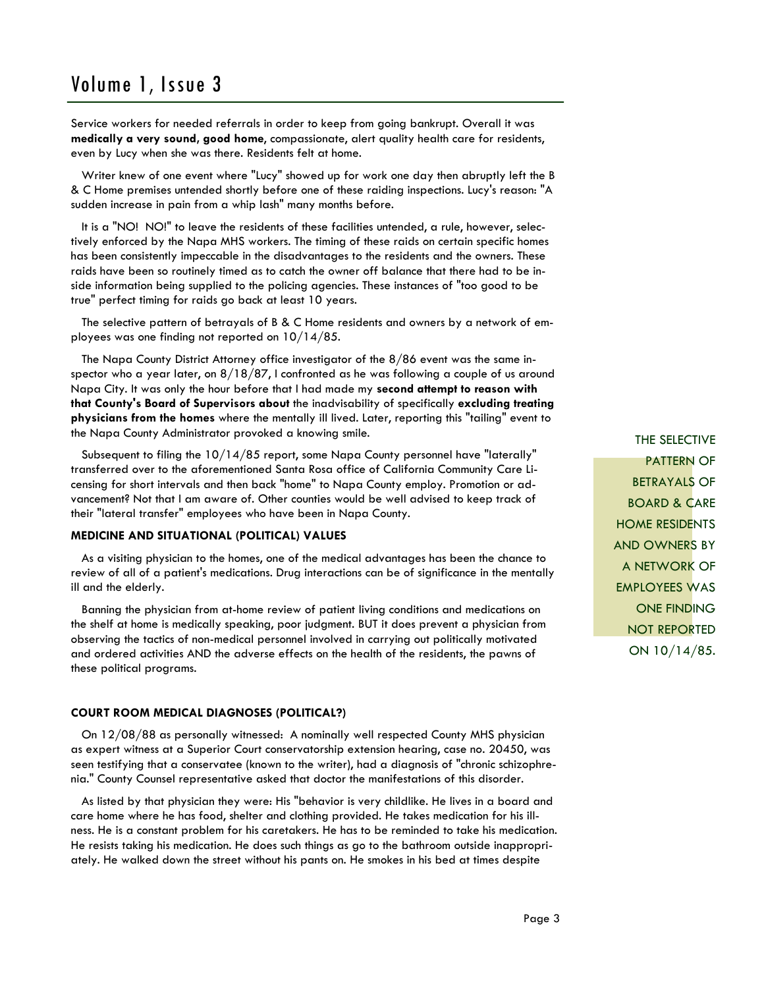Service workers for needed referrals in order to keep from going bankrupt. Overall it was **medically a very sound, good home**, compassionate, alert quality health care for residents, even by Lucy when she was there. Residents felt at home.

 Writer knew of one event where "Lucy" showed up for work one day then abruptly left the B & C Home premises untended shortly before one of these raiding inspections. Lucy's reason: "A sudden increase in pain from a whip lash" many months before.

 It is a "NO! NO!" to leave the residents of these facilities untended, a rule, however, selectively enforced by the Napa MHS workers. The timing of these raids on certain specific homes has been consistently impeccable in the disadvantages to the residents and the owners. These raids have been so routinely timed as to catch the owner off balance that there had to be inside information being supplied to the policing agencies. These instances of "too good to be true" perfect timing for raids go back at least 10 years.

 The selective pattern of betrayals of B & C Home residents and owners by a network of employees was one finding not reported on 10/14/85.

 The Napa County District Attorney office investigator of the 8/86 event was the same inspector who a year later, on 8/18/87, I confronted as he was following a couple of us around Napa City. It was only the hour before that I had made my **second attempt to reason with that County's Board of Supervisors about** the inadvisability of specifically **excluding treating physicians from the homes** where the mentally ill lived. Later, reporting this "tailing" event to the Napa County Administrator provoked a knowing smile.

 Subsequent to filing the 10/14/85 report, some Napa County personnel have "laterally" transferred over to the aforementioned Santa Rosa office of California Community Care Licensing for short intervals and then back "home" to Napa County employ. Promotion or advancement? Not that I am aware of. Other counties would be well advised to keep track of their "lateral transfer" employees who have been in Napa County.

### **MEDICINE AND SITUATIONAL (POLITICAL) VALUES**

 As a visiting physician to the homes, one of the medical advantages has been the chance to review of all of a patient's medications. Drug interactions can be of significance in the mentally ill and the elderly.

 Banning the physician from at-home review of patient living conditions and medications on the shelf at home is medically speaking, poor judgment. BUT it does prevent a physician from observing the tactics of non-medical personnel involved in carrying out politically motivated and ordered activities AND the adverse effects on the health of the residents, the pawns of these political programs.

### **COURT ROOM MEDICAL DIAGNOSES (POLITICAL?)**

 On 12/08/88 as personally witnessed: A nominally well respected County MHS physician as expert witness at a Superior Court conservatorship extension hearing, case no. 20450, was seen testifying that a conservatee (known to the writer), had a diagnosis of "chronic schizophrenia." County Counsel representative asked that doctor the manifestations of this disorder.

 As listed by that physician they were: His "behavior is very childlike. He lives in a board and care home where he has food, shelter and clothing provided. He takes medication for his illness. He is a constant problem for his caretakers. He has to be reminded to take his medication. He resists taking his medication. He does such things as go to the bathroom outside inappropriately. He walked down the street without his pants on. He smokes in his bed at times despite

THE SELECTIVE PATTERN OF BETRAYALS OF BOARD & CARE HOME RESIDENTS AND OWNERS BY A NETWORK OF EMPLOYEES WAS ONE FINDING NOT REPORTED ON 10/14/85.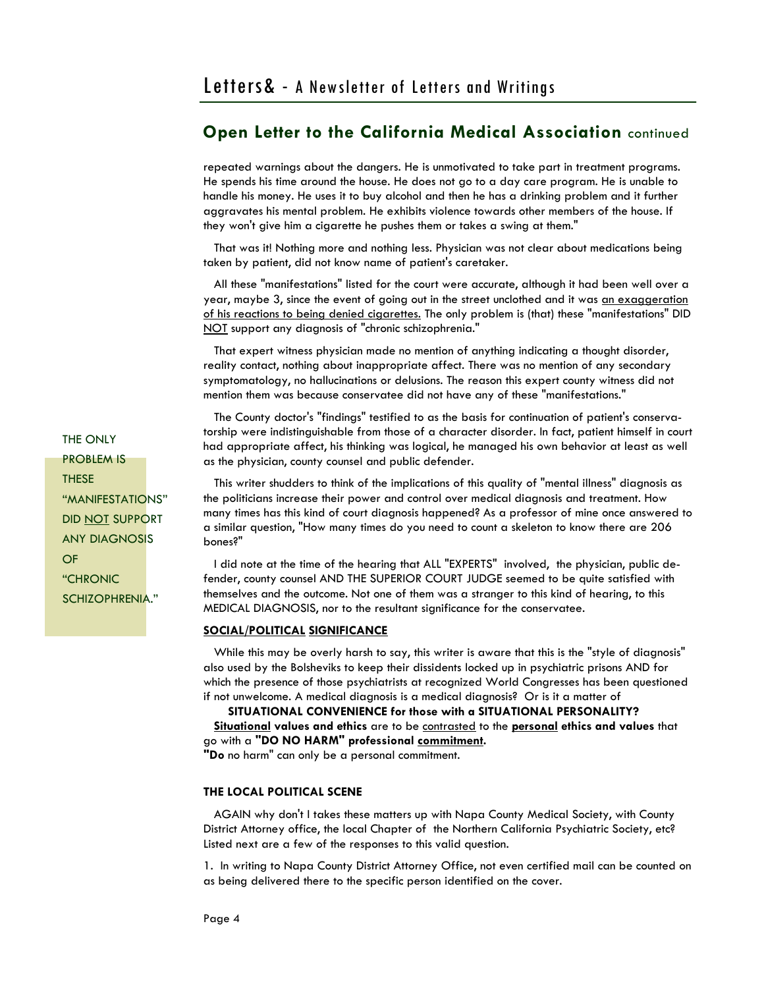repeated warnings about the dangers. He is unmotivated to take part in treatment programs. He spends his time around the house. He does not go to a day care program. He is unable to handle his money. He uses it to buy alcohol and then he has a drinking problem and it further aggravates his mental problem. He exhibits violence towards other members of the house. If they won't give him a cigarette he pushes them or takes a swing at them."

 That was it! Nothing more and nothing less. Physician was not clear about medications being taken by patient, did not know name of patient's caretaker.

 All these "manifestations" listed for the court were accurate, although it had been well over a year, maybe 3, since the event of going out in the street unclothed and it was an exaggeration of his reactions to being denied cigarettes. The only problem is (that) these "manifestations" DID NOT support any diagnosis of "chronic schizophrenia."

 That expert witness physician made no mention of anything indicating a thought disorder, reality contact, nothing about inappropriate affect. There was no mention of any secondary symptomatology, no hallucinations or delusions. The reason this expert county witness did not mention them was because conservatee did not have any of these "manifestations."

 The County doctor's "findings" testified to as the basis for continuation of patient's conservatorship were indistinguishable from those of a character disorder. In fact, patient himself in court had appropriate affect, his thinking was logical, he managed his own behavior at least as well as the physician, county counsel and public defender.

 This writer shudders to think of the implications of this quality of "mental illness" diagnosis as the politicians increase their power and control over medical diagnosis and treatment. How many times has this kind of court diagnosis happened? As a professor of mine once answered to a similar question, "How many times do you need to count a skeleton to know there are 206 bones?"

 I did note at the time of the hearing that ALL "EXPERTS" involved, the physician, public defender, county counsel AND THE SUPERIOR COURT JUDGE seemed to be quite satisfied with themselves and the outcome. Not one of them was a stranger to this kind of hearing, to this MEDICAL DIAGNOSIS, nor to the resultant significance for the conservatee.

### **SOCIAL/POLITICAL SIGNIFICANCE**

 While this may be overly harsh to say, this writer is aware that this is the "style of diagnosis" also used by the Bolsheviks to keep their dissidents locked up in psychiatric prisons AND for which the presence of those psychiatrists at recognized World Congresses has been questioned if not unwelcome. A medical diagnosis is a medical diagnosis? Or is it a matter of

 **SITUATIONAL CONVENIENCE for those with a SITUATIONAL PERSONALITY? Situational values and ethics** are to be contrasted to the **personal ethics and values** that go with a **"DO NO HARM" professional commitment.**

**"Do** no harm" can only be a personal commitment.

# **THE LOCAL POLITICAL SCENE**

 AGAIN why don't I takes these matters up with Napa County Medical Society, with County District Attorney office, the local Chapter of the Northern California Psychiatric Society, etc? Listed next are a few of the responses to this valid question.

1. In writing to Napa County District Attorney Office, not even certified mail can be counted on as being delivered there to the specific person identified on the cover.

THE ONLY PROBLEM IS THESE "MANIFESTATIONS" DID NOT SUPPORT ANY DIAGNOSIS OF "CHRONIC SCHIZOPHRENIA."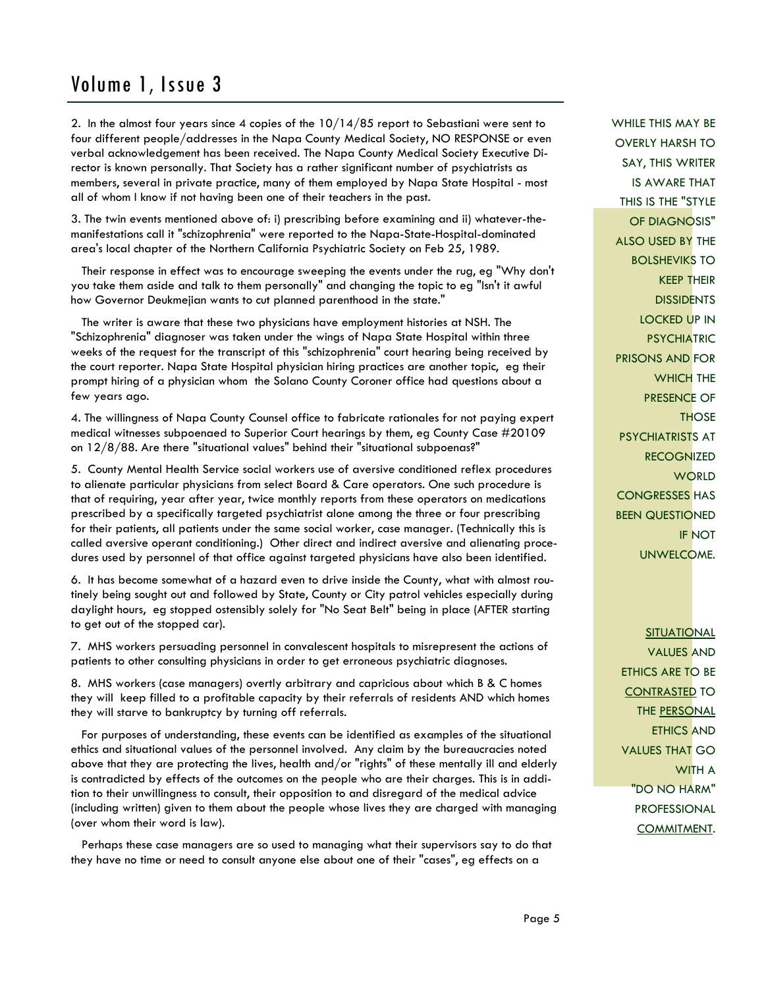2. In the almost four years since 4 copies of the  $10/14/85$  report to Sebastiani were sent to four different people/addresses in the Napa County Medical Society, NO RESPONSE or even verbal acknowledgement has been received. The Napa County Medical Society Executive Director is known personally. That Society has a rather significant number of psychiatrists as members, several in private practice, many of them employed by Napa State Hospital - most all of whom I know if not having been one of their teachers in the past.

3. The twin events mentioned above of: i) prescribing before examining and ii) whatever-themanifestations call it "schizophrenia" were reported to the Napa-State-Hospital-dominated area's local chapter of the Northern California Psychiatric Society on Feb 25, 1989.

 Their response in effect was to encourage sweeping the events under the rug, eg "Why don't you take them aside and talk to them personally" and changing the topic to eg "Isn't it awful how Governor Deukmejian wants to cut planned parenthood in the state."

 The writer is aware that these two physicians have employment histories at NSH. The "Schizophrenia" diagnoser was taken under the wings of Napa State Hospital within three weeks of the request for the transcript of this "schizophrenia" court hearing being received by the court reporter. Napa State Hospital physician hiring practices are another topic, eg their prompt hiring of a physician whom the Solano County Coroner office had questions about a few years ago.

4. The willingness of Napa County Counsel office to fabricate rationales for not paying expert medical witnesses subpoenaed to Superior Court hearings by them, eg County Case #20109 on 12/8/88. Are there "situational values" behind their "situational subpoenas?"

5. County Mental Health Service social workers use of aversive conditioned reflex procedures to alienate particular physicians from select Board & Care operators. One such procedure is that of requiring, year after year, twice monthly reports from these operators on medications prescribed by a specifically targeted psychiatrist alone among the three or four prescribing for their patients, all patients under the same social worker, case manager. (Technically this is called aversive operant conditioning.) Other direct and indirect aversive and alienating procedures used by personnel of that office against targeted physicians have also been identified.

6. It has become somewhat of a hazard even to drive inside the County, what with almost routinely being sought out and followed by State, County or City patrol vehicles especially during daylight hours, eg stopped ostensibly solely for "No Seat Belt" being in place (AFTER starting to get out of the stopped car).

7. MHS workers persuading personnel in convalescent hospitals to misrepresent the actions of patients to other consulting physicians in order to get erroneous psychiatric diagnoses.

8. MHS workers (case managers) overtly arbitrary and capricious about which B & C homes they will keep filled to a profitable capacity by their referrals of residents AND which homes they will starve to bankruptcy by turning off referrals.

 For purposes of understanding, these events can be identified as examples of the situational ethics and situational values of the personnel involved. Any claim by the bureaucracies noted above that they are protecting the lives, health and/or "rights" of these mentally ill and elderly is contradicted by effects of the outcomes on the people who are their charges. This is in addition to their unwillingness to consult, their opposition to and disregard of the medical advice (including written) given to them about the people whose lives they are charged with managing (over whom their word is law).

 Perhaps these case managers are so used to managing what their supervisors say to do that they have no time or need to consult anyone else about one of their "cases", eg effects on a

WHILE THIS MAY BE OVERLY HARSH TO SAY, THIS WRITER IS AWARE THAT THIS IS THE "STYLE OF DIAGNOSIS" ALSO USED BY THE BOLSHEVIKS TO KEEP THEIR **DISSIDENTS** LOCKED UP IN **PSYCHIATRIC** PRISONS AND FOR WHICH THE PRESENCE OF **THOSE** PSYCHIATRISTS AT **RECOGNIZED WORLD** CONGRESSES HAS BEEN QUESTIONED IF NOT UNWELCOME.

**SITUATIONAL** VALUES AND ETHICS ARE TO BE CONTRASTED TO THE PERSONAL ETHICS AND VALUES THAT GO WITH A "DO NO HARM" PROFESSIONAL COMMITMENT.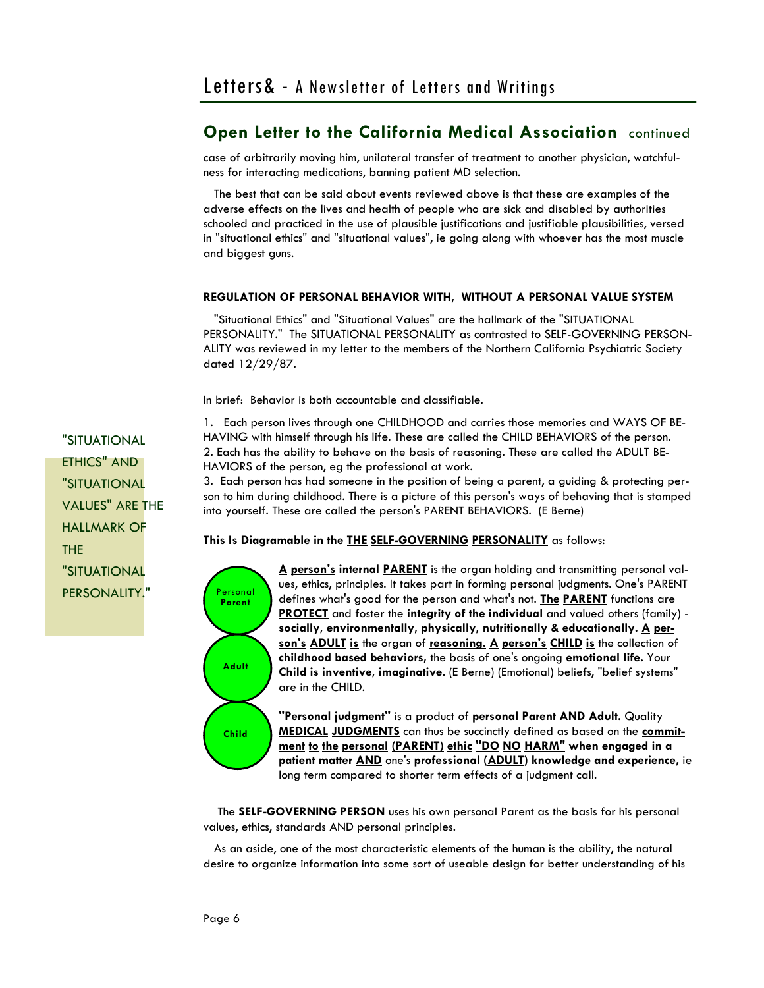case of arbitrarily moving him, unilateral transfer of treatment to another physician, watchfulness for interacting medications, banning patient MD selection.

 The best that can be said about events reviewed above is that these are examples of the adverse effects on the lives and health of people who are sick and disabled by authorities schooled and practiced in the use of plausible justifications and justifiable plausibilities, versed in "situational ethics" and "situational values", ie going along with whoever has the most muscle and biggest guns.

# **REGULATION OF PERSONAL BEHAVIOR WITH, WITHOUT A PERSONAL VALUE SYSTEM**

 "Situational Ethics" and "Situational Values" are the hallmark of the "SITUATIONAL PERSONALITY." The SITUATIONAL PERSONALITY as contrasted to SELF-GOVERNING PERSON-ALITY was reviewed in my letter to the members of the Northern California Psychiatric Society dated 12/29/87.

In brief: Behavior is both accountable and classifiable.

1. Each person lives through one CHILDHOOD and carries those memories and WAYS OF BE-HAVING with himself through his life. These are called the CHILD BEHAVIORS of the person. 2. Each has the ability to behave on the basis of reasoning. These are called the ADULT BE-HAVIORS of the person, eg the professional at work.

3. Each person has had someone in the position of being a parent, a guiding & protecting person to him during childhood. There is a picture of this person's ways of behaving that is stamped into yourself. These are called the person's PARENT BEHAVIORS. (E Berne)

**This Is Diagramable in the THE SELF-GOVERNING PERSONALITY** as follows:

**Adult Child** 

**Parent** 

**A person's internal PARENT** is the organ holding and transmitting personal values, ethics, principles. It takes part in forming personal judgments. One's PARENT defines what's good for the person and what's not. **The PARENT** functions are **PROTECT** and foster the **integrity of the individual** and valued others (family) **socially, environmentally, physically, nutritionally & educationally. A person's ADULT is** the organ of **reasoning. A person's CHILD is** the collection of **childhood based behaviors,** the basis of one's ongoing **emotional life.** Your **Child is inventive, imaginative.** (E Berne) (Emotional) beliefs, "belief systems" are in the CHILD.

**"Personal judgment"** is a product of **personal Parent AND Adult.** Quality **MEDICAL JUDGMENTS** can thus be succinctly defined as based on the **commitment to the personal (PARENT) ethic "DO NO HARM" when engaged in a patient matter AND** one's **professional (ADULT) knowledge and experience,** ie long term compared to shorter term effects of a judgment call.

 The **SELF-GOVERNING PERSON** uses his own personal Parent as the basis for his personal values, ethics, standards AND personal principles.

 As an aside, one of the most characteristic elements of the human is the ability, the natural desire to organize information into some sort of useable design for better understanding of his

"SITUATIONAL ETHICS" AND "SITUATIONAL VALUES" ARE THE HALLMARK OF THE "SITUATIONAL PERSONALITY." Personal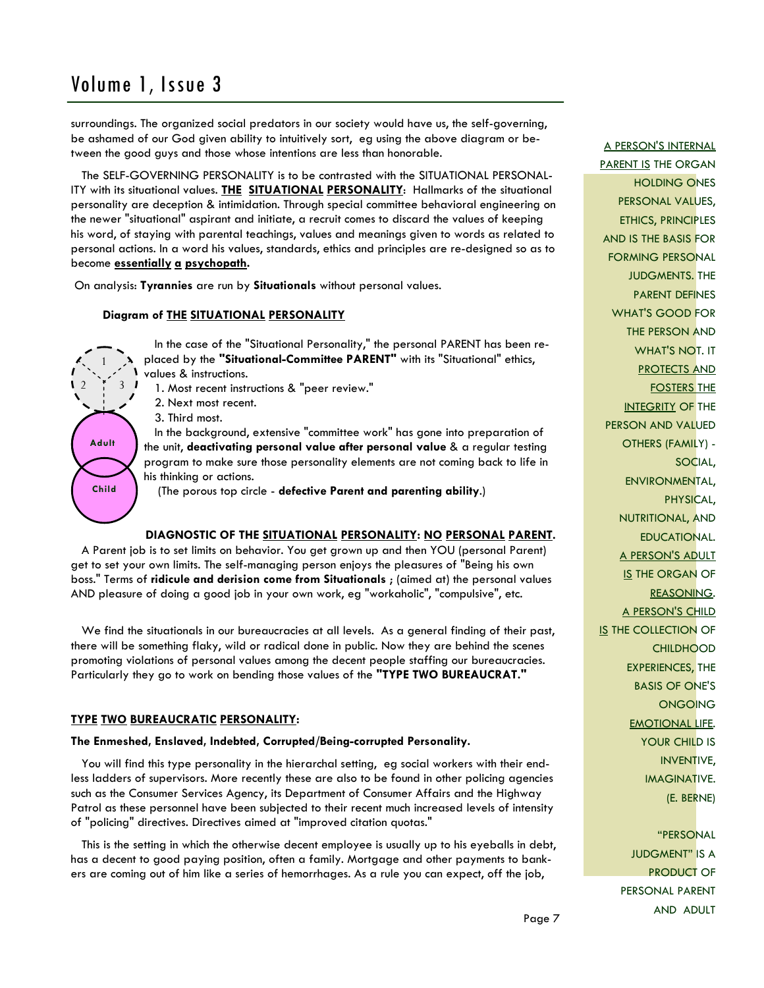surroundings. The organized social predators in our society would have us, the self-governing, be ashamed of our God given ability to intuitively sort, eg using the above diagram or between the good guys and those whose intentions are less than honorable.

 The SELF-GOVERNING PERSONALITY is to be contrasted with the SITUATIONAL PERSONAL-ITY with its situational values. **THE SITUATIONAL PERSONALITY**: Hallmarks of the situational personality are deception & intimidation. Through special committee behavioral engineering on the newer "situational" aspirant and initiate, a recruit comes to discard the values of keeping his word, of staying with parental teachings, values and meanings given to words as related to personal actions. In a word his values, standards, ethics and principles are re-designed so as to become **essentially a psychopath.**

On analysis: **Tyrannies** are run by **Situationals** without personal values.

### **Diagram of THE SITUATIONAL PERSONALITY**

 In the case of the "Situational Personality," the personal PARENT has been replaced by the **"Situational-Committee PARENT"** with its "Situational" ethics, values & instructions.

- 1. Most recent instructions & "peer review."
- 2. Next most recent.
- 3. Third most.

**Adult** 

 $2 \div 3$ 

 $\lambda$  1

**Child** 

 In the background, extensive "committee work" has gone into preparation of the unit, **deactivating personal value after personal value** & a regular testing program to make sure those personality elements are not coming back to life in his thinking or actions.

(The porous top circle - **defective Parent and parenting ability**.)

#### **DIAGNOSTIC OF THE SITUATIONAL PERSONALITY: NO PERSONAL PARENT.**

 A Parent job is to set limits on behavior. You get grown up and then YOU (personal Parent) get to set your own limits. The self-managing person enjoys the pleasures of "Being his own boss." Terms of **ridicule and derision come from Situationals** ; (aimed at) the personal values AND pleasure of doing a good job in your own work, eg "workaholic", "compulsive", etc.

 We find the situationals in our bureaucracies at all levels. As a general finding of their past, there will be something flaky, wild or radical done in public. Now they are behind the scenes promoting violations of personal values among the decent people staffing our bureaucracies. Particularly they go to work on bending those values of the **"TYPE TWO BUREAUCRAT."**

# **TYPE TWO BUREAUCRATIC PERSONALITY:**

#### **The Enmeshed, Enslaved, Indebted, Corrupted/Being-corrupted Personality.**

 You will find this type personality in the hierarchal setting, eg social workers with their endless ladders of supervisors. More recently these are also to be found in other policing agencies such as the Consumer Services Agency, its Department of Consumer Affairs and the Highway Patrol as these personnel have been subjected to their recent much increased levels of intensity of "policing" directives. Directives aimed at "improved citation quotas."

 This is the setting in which the otherwise decent employee is usually up to his eyeballs in debt, has a decent to good paying position, often a family. Mortgage and other payments to bankers are coming out of him like a series of hemorrhages. As a rule you can expect, off the job,

A PERSON'S INTERNAL PARENT IS THE ORGAN HOLDING ONES PERSONAL VALUES, ETHICS, PRINCIPLES AND IS THE BASIS FOR FORMING PERSONAL JUDGMENTS. THE PARENT DEFINES WHAT'S GOOD FOR THE PERSON AND WHAT'S NOT. IT PROTECTS AND FOSTERS THE INTEGRITY OF THE PERSON AND VALUED OTHERS (FAMILY) - SOCIAL, ENVIRONMENTAL, PHYSICAL, NUTRITIONAL, AND EDUCATIONAL. A PERSON'S ADULT IS THE ORGAN OF REASONING. A PERSON'S CHILD **IS THE COLLECTION OF CHILDHOOD** EXPERIENCES, THE BASIS OF ONE'S **ONGOING** EMOTIONAL LIFE. YOUR CHILD IS INVENTIVE, IMAGINATIVE. (E. BERNE)

> "PERSONAL JUDGMENT" IS A PRODUCT OF PERSONAL PARENT AND ADULT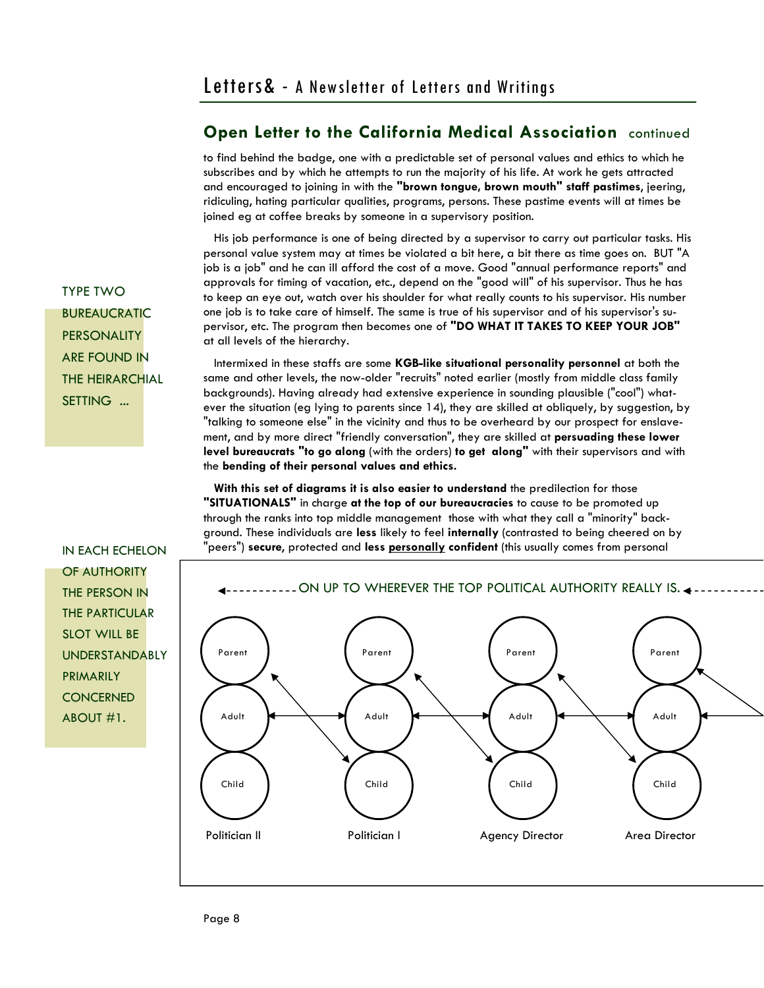to find behind the badge, one with a predictable set of personal values and ethics to which he subscribes and by which he attempts to run the majority of his life. At work he gets attracted and encouraged to joining in with the **"brown tongue, brown mouth" staff pastimes**, jeering, ridiculing, hating particular qualities, programs, persons. These pastime events will at times be joined eg at coffee breaks by someone in a supervisory position.

 His job performance is one of being directed by a supervisor to carry out particular tasks. His personal value system may at times be violated a bit here, a bit there as time goes on. BUT "A job is a job" and he can ill afford the cost of a move. Good "annual performance reports" and approvals for timing of vacation, etc., depend on the "good will" of his supervisor. Thus he has to keep an eye out, watch over his shoulder for what really counts to his supervisor. His number one job is to take care of himself. The same is true of his supervisor and of his supervisor's supervisor, etc. The program then becomes one of **"DO WHAT IT TAKES TO KEEP YOUR JOB"** at all levels of the hierarchy.

 Intermixed in these staffs are some **KGB-like situational personality personnel** at both the same and other levels, the now-older "recruits" noted earlier (mostly from middle class family backgrounds). Having already had extensive experience in sounding plausible ("cool") whatever the situation (eg lying to parents since 14), they are skilled at obliquely, by suggestion, by "talking to someone else" in the vicinity and thus to be overheard by our prospect for enslavement, and by more direct "friendly conversation", they are skilled at **persuading these lower level bureaucrats "to go along** (with the orders) **to get along"** with their supervisors and with the **bending of their personal values and ethics.**

 **With this set of diagrams it is also easier to understand** the predilection for those **"SITUATIONALS"** in charge **at the top of our bureaucracies** to cause to be promoted up through the ranks into top middle management those with what they call a "minority" background. These individuals are **less** likely to feel **internally** (contrasted to being cheered on by "peers") **secure**, protected and **less personally confident** (this usually comes from personal

# $\ldots$  on up to wherever the top political authority really is.  $\triangleleft$  .  $\ldots$  .



TYPE TWO BUREAUCRATIC **PERSONALITY** ARE FOUND IN THE HEIRARCHIAL SETTING ...

IN EACH ECHELON OF AUTHORITY THE PERSON IN THE PARTICULAR SLOT WILL BE UNDERSTANDABLY PRIMARILY **CONCERNED** ABOUT #1.

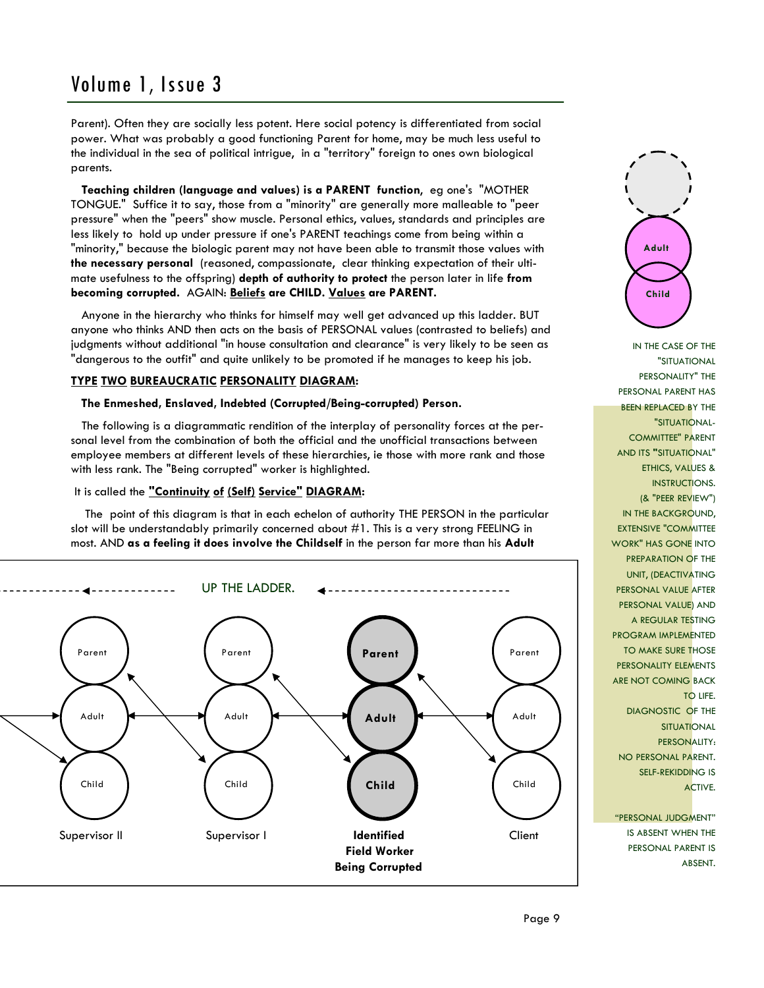Parent). Often they are socially less potent. Here social potency is differentiated from social power. What was probably a good functioning Parent for home, may be much less useful to the individual in the sea of political intrigue, in a "territory" foreign to ones own biological parents.

 **Teaching children (language and values) is a PARENT function**, eg one's "MOTHER TONGUE." Suffice it to say, those from a "minority" are generally more malleable to "peer pressure" when the "peers" show muscle. Personal ethics, values, standards and principles are less likely to hold up under pressure if one's PARENT teachings come from being within a "minority," because the biologic parent may not have been able to transmit those values with **the necessary personal** (reasoned, compassionate, clear thinking expectation of their ultimate usefulness to the offspring) **depth of authority to protect** the person later in life **from becoming corrupted.** AGAIN: **Beliefs are CHILD. Values are PARENT.**

 Anyone in the hierarchy who thinks for himself may well get advanced up this ladder. BUT anyone who thinks AND then acts on the basis of PERSONAL values (contrasted to beliefs) and judgments without additional "in house consultation and clearance" is very likely to be seen as "dangerous to the outfit" and quite unlikely to be promoted if he manages to keep his job.

# **TYPE TWO BUREAUCRATIC PERSONALITY DIAGRAM:**

### **The Enmeshed, Enslaved, Indebted (Corrupted/Being-corrupted) Person.**

 The following is a diagrammatic rendition of the interplay of personality forces at the personal level from the combination of both the official and the unofficial transactions between employee members at different levels of these hierarchies, ie those with more rank and those with less rank. The "Being corrupted" worker is highlighted.

### It is called the **"Continuity of (Self) Service" DIAGRAM:**

 The point of this diagram is that in each echelon of authority THE PERSON in the particular slot will be understandably primarily concerned about #1. This is a very strong FEELING in most. AND **as a feeling it does involve the Childself** in the person far more than his **Adult** 





IN THE CASE OF THE "SITUATIONAL PERSONALITY" THE PERSONAL PARENT HAS BEEN REPLACED BY THE "SITUATIONAL-COMMITTEE" PARENT AND ITS **"**SITUATIONAL" ETHICS, VALUES & INSTRUCTIONS. (& "PEER REVIEW") IN THE BACKGROUND, EXTENSIVE "COMMITTEE WORK" HAS GONE INTO PREPARATION OF THE UNIT, (DEACTIVATING PERSONAL VALUE AFTER PERSONAL VALUE) AND A REGULAR TESTING PROGRAM IMPLEMENTED TO MAKE SURE THOSE PERSONALITY ELEMENTS ARE NOT COMING BACK TO LIFE. DIAGNOSTIC OF THE **SITUATIONAL** PERSONALITY: NO PERSONAL PARENT. SELF-REKIDDING IS ACTIVE.

"PERSONAL JUDGMENT" IS ABSENT WHEN THE PERSONAL PARENT IS **ABSENT**